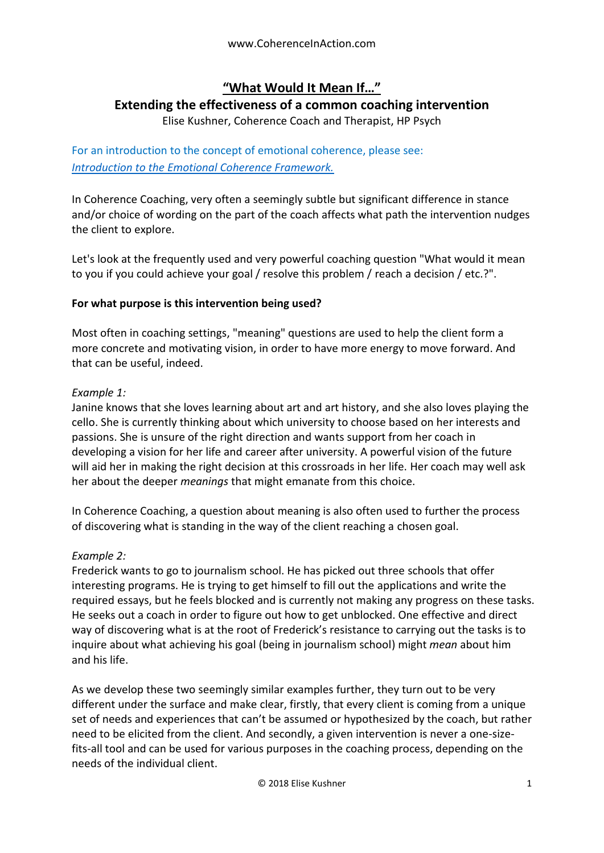# **"What Would It Mean If…"**

## **Extending the effectiveness of a common coaching intervention**

Elise Kushner, Coherence Coach and Therapist, HP Psych

For an introduction to the concept of emotional coherence, please see: *[Introduction to the Emotional Coherence Framework.](https://docs.wixstatic.com/ugd/c5924b_db22a19f1b1c40209c875a5b1eac0cd3.pdf)*

In Coherence Coaching, very often a seemingly subtle but significant difference in stance and/or choice of wording on the part of the coach affects what path the intervention nudges the client to explore.

Let's look at the frequently used and very powerful coaching question "What would it mean to you if you could achieve your goal / resolve this problem / reach a decision / etc.?".

#### **For what purpose is this intervention being used?**

Most often in coaching settings, "meaning" questions are used to help the client form a more concrete and motivating vision, in order to have more energy to move forward. And that can be useful, indeed.

#### *Example 1:*

Janine knows that she loves learning about art and art history, and she also loves playing the cello. She is currently thinking about which university to choose based on her interests and passions. She is unsure of the right direction and wants support from her coach in developing a vision for her life and career after university. A powerful vision of the future will aid her in making the right decision at this crossroads in her life. Her coach may well ask her about the deeper *meanings* that might emanate from this choice.

In Coherence Coaching, a question about meaning is also often used to further the process of discovering what is standing in the way of the client reaching a chosen goal.

#### *Example 2:*

Frederick wants to go to journalism school. He has picked out three schools that offer interesting programs. He is trying to get himself to fill out the applications and write the required essays, but he feels blocked and is currently not making any progress on these tasks. He seeks out a coach in order to figure out how to get unblocked. One effective and direct way of discovering what is at the root of Frederick's resistance to carrying out the tasks is to inquire about what achieving his goal (being in journalism school) might *mean* about him and his life.

As we develop these two seemingly similar examples further, they turn out to be very different under the surface and make clear, firstly, that every client is coming from a unique set of needs and experiences that can't be assumed or hypothesized by the coach, but rather need to be elicited from the client. And secondly, a given intervention is never a one-sizefits-all tool and can be used for various purposes in the coaching process, depending on the needs of the individual client.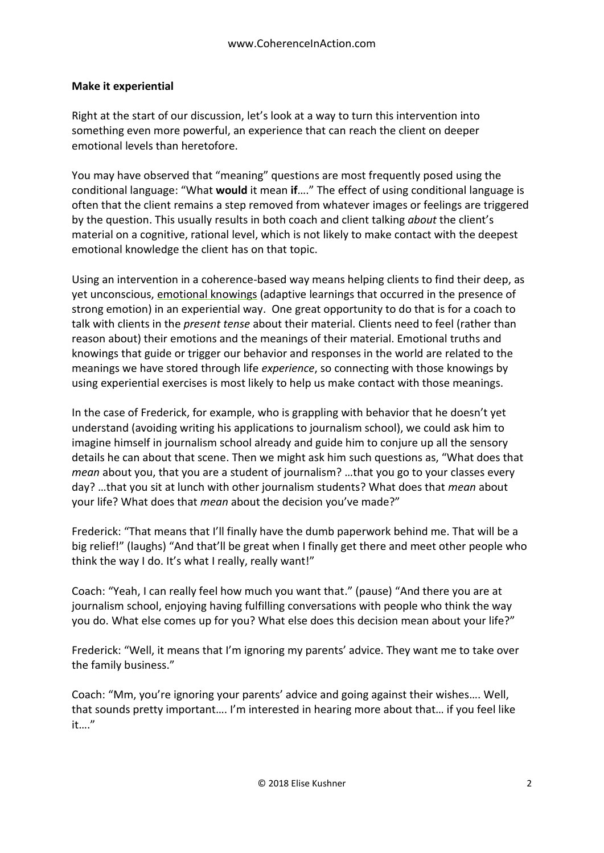#### **Make it experiential**

Right at the start of our discussion, let's look at a way to turn this intervention into something even more powerful, an experience that can reach the client on deeper emotional levels than heretofore.

You may have observed that "meaning" questions are most frequently posed using the conditional language: "What **would** it mean **if**…." The effect of using conditional language is often that the client remains a step removed from whatever images or feelings are triggered by the question. This usually results in both coach and client talking *about* the client's material on a cognitive, rational level, which is not likely to make contact with the deepest emotional knowledge the client has on that topic.

Using an intervention in a coherence-based way means helping clients to find their deep, as yet unconscious, emotional knowings (adaptive learnings that occurred in the presence of strong emotion) in an experiential way. One great opportunity to do that is for a coach to talk with clients in the *present tense* about their material. Clients need to feel (rather than reason about) their emotions and the meanings of their material. Emotional truths and knowings that guide or trigger our behavior and responses in the world are related to the meanings we have stored through life *experience*, so connecting with those knowings by using experiential exercises is most likely to help us make contact with those meanings.

In the case of Frederick, for example, who is grappling with behavior that he doesn't yet understand (avoiding writing his applications to journalism school), we could ask him to imagine himself in journalism school already and guide him to conjure up all the sensory details he can about that scene. Then we might ask him such questions as, "What does that *mean* about you, that you are a student of journalism? …that you go to your classes every day? …that you sit at lunch with other journalism students? What does that *mean* about your life? What does that *mean* about the decision you've made?"

Frederick: "That means that I'll finally have the dumb paperwork behind me. That will be a big relief!" (laughs) "And that'll be great when I finally get there and meet other people who think the way I do. It's what I really, really want!"

Coach: "Yeah, I can really feel how much you want that." (pause) "And there you are at journalism school, enjoying having fulfilling conversations with people who think the way you do. What else comes up for you? What else does this decision mean about your life?"

Frederick: "Well, it means that I'm ignoring my parents' advice. They want me to take over the family business."

Coach: "Mm, you're ignoring your parents' advice and going against their wishes…. Well, that sounds pretty important…. I'm interested in hearing more about that… if you feel like it…."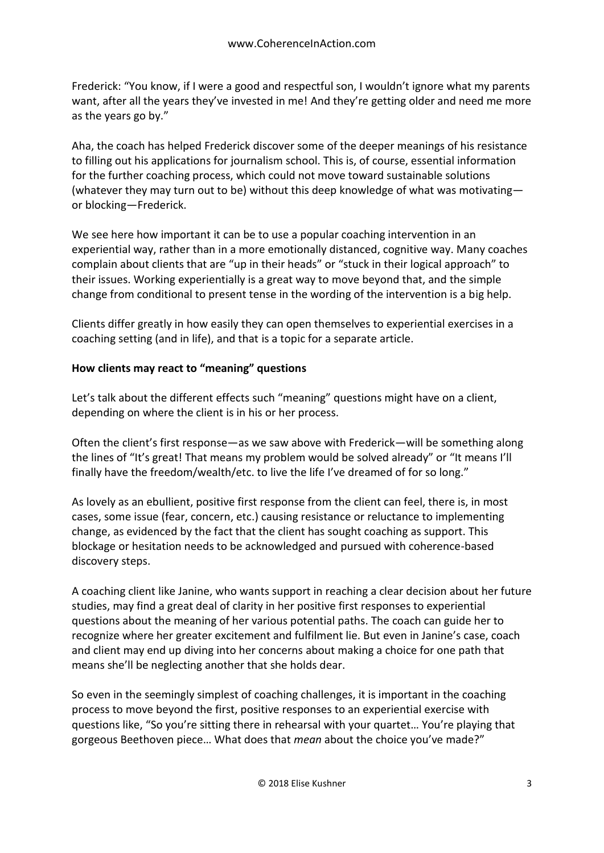Frederick: "You know, if I were a good and respectful son, I wouldn't ignore what my parents want, after all the years they've invested in me! And they're getting older and need me more as the years go by."

Aha, the coach has helped Frederick discover some of the deeper meanings of his resistance to filling out his applications for journalism school. This is, of course, essential information for the further coaching process, which could not move toward sustainable solutions (whatever they may turn out to be) without this deep knowledge of what was motivating or blocking—Frederick.

We see here how important it can be to use a popular coaching intervention in an experiential way, rather than in a more emotionally distanced, cognitive way. Many coaches complain about clients that are "up in their heads" or "stuck in their logical approach" to their issues. Working experientially is a great way to move beyond that, and the simple change from conditional to present tense in the wording of the intervention is a big help.

Clients differ greatly in how easily they can open themselves to experiential exercises in a coaching setting (and in life), and that is a topic for a separate article.

### **How clients may react to "meaning" questions**

Let's talk about the different effects such "meaning" questions might have on a client, depending on where the client is in his or her process.

Often the client's first response—as we saw above with Frederick—will be something along the lines of "It's great! That means my problem would be solved already" or "It means I'll finally have the freedom/wealth/etc. to live the life I've dreamed of for so long."

As lovely as an ebullient, positive first response from the client can feel, there is, in most cases, some issue (fear, concern, etc.) causing resistance or reluctance to implementing change, as evidenced by the fact that the client has sought coaching as support. This blockage or hesitation needs to be acknowledged and pursued with coherence-based discovery steps.

A coaching client like Janine, who wants support in reaching a clear decision about her future studies, may find a great deal of clarity in her positive first responses to experiential questions about the meaning of her various potential paths. The coach can guide her to recognize where her greater excitement and fulfilment lie. But even in Janine's case, coach and client may end up diving into her concerns about making a choice for one path that means she'll be neglecting another that she holds dear.

So even in the seemingly simplest of coaching challenges, it is important in the coaching process to move beyond the first, positive responses to an experiential exercise with questions like, "So you're sitting there in rehearsal with your quartet… You're playing that gorgeous Beethoven piece… What does that *mean* about the choice you've made?"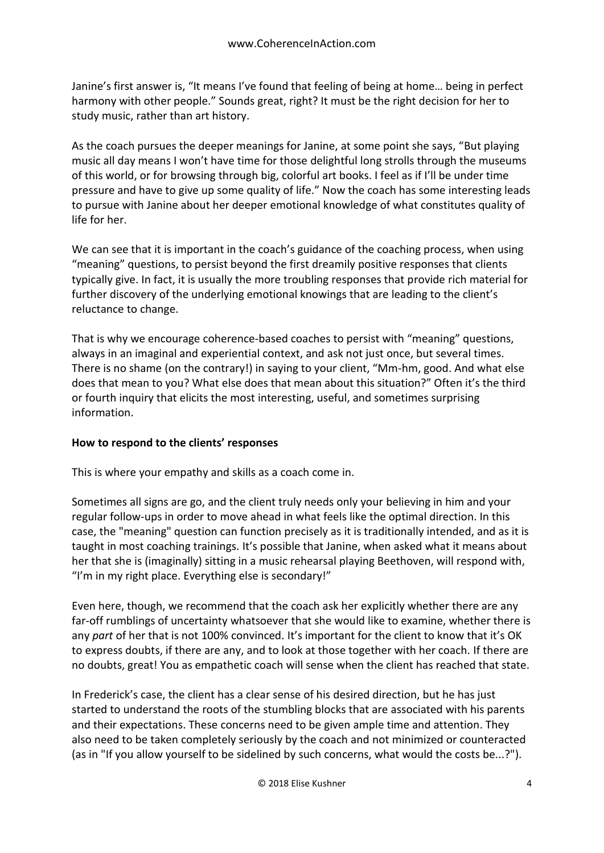Janine's first answer is, "It means I've found that feeling of being at home… being in perfect harmony with other people." Sounds great, right? It must be the right decision for her to study music, rather than art history.

As the coach pursues the deeper meanings for Janine, at some point she says, "But playing music all day means I won't have time for those delightful long strolls through the museums of this world, or for browsing through big, colorful art books. I feel as if I'll be under time pressure and have to give up some quality of life." Now the coach has some interesting leads to pursue with Janine about her deeper emotional knowledge of what constitutes quality of life for her.

We can see that it is important in the coach's guidance of the coaching process, when using "meaning" questions, to persist beyond the first dreamily positive responses that clients typically give. In fact, it is usually the more troubling responses that provide rich material for further discovery of the underlying emotional knowings that are leading to the client's reluctance to change.

That is why we encourage coherence-based coaches to persist with "meaning" questions, always in an imaginal and experiential context, and ask not just once, but several times. There is no shame (on the contrary!) in saying to your client, "Mm-hm, good. And what else does that mean to you? What else does that mean about this situation?" Often it's the third or fourth inquiry that elicits the most interesting, useful, and sometimes surprising information.

#### **How to respond to the clients' responses**

This is where your empathy and skills as a coach come in.

Sometimes all signs are go, and the client truly needs only your believing in him and your regular follow-ups in order to move ahead in what feels like the optimal direction. In this case, the "meaning" question can function precisely as it is traditionally intended, and as it is taught in most coaching trainings. It's possible that Janine, when asked what it means about her that she is (imaginally) sitting in a music rehearsal playing Beethoven, will respond with, "I'm in my right place. Everything else is secondary!"

Even here, though, we recommend that the coach ask her explicitly whether there are any far-off rumblings of uncertainty whatsoever that she would like to examine, whether there is any *part* of her that is not 100% convinced. It's important for the client to know that it's OK to express doubts, if there are any, and to look at those together with her coach. If there are no doubts, great! You as empathetic coach will sense when the client has reached that state.

In Frederick's case, the client has a clear sense of his desired direction, but he has just started to understand the roots of the stumbling blocks that are associated with his parents and their expectations. These concerns need to be given ample time and attention. They also need to be taken completely seriously by the coach and not minimized or counteracted (as in "If you allow yourself to be sidelined by such concerns, what would the costs be...?").